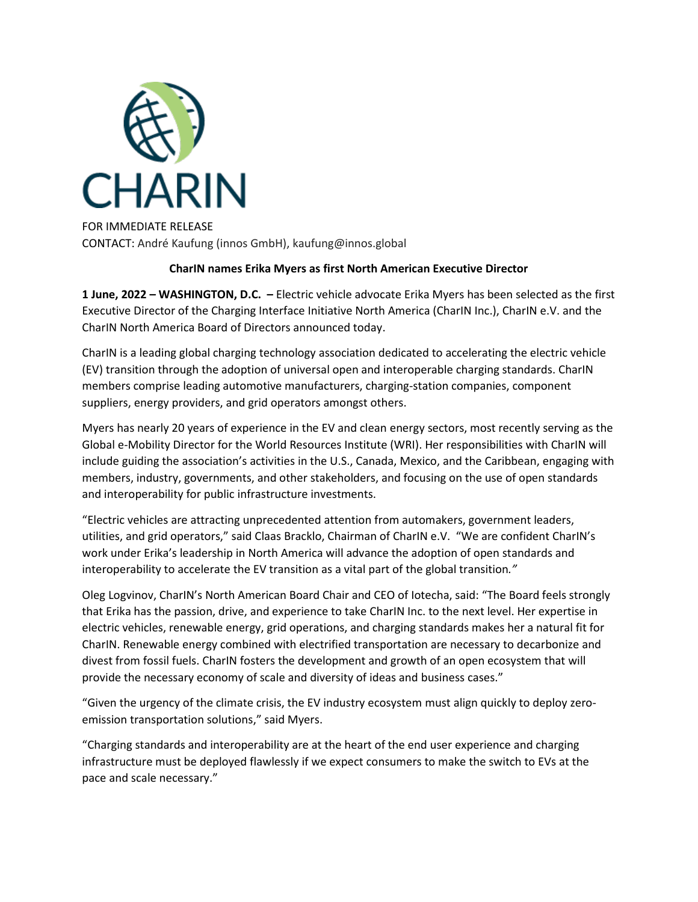

FOR IMMEDIATE RELEASE CONTACT: André Kaufung (innos GmbH), kaufung@innos.global

# **CharIN names Erika Myers as first North American Executive Director**

**1 June, 2022 – WASHINGTON, D.C. –** Electric vehicle advocate Erika Myers has been selected as the first Executive Director of the Charging Interface Initiative North America (CharIN Inc.), CharIN e.V. and the CharIN North America Board of Directors announced today.

CharIN is a leading global charging technology association dedicated to accelerating the electric vehicle (EV) transition through the adoption of universal open and interoperable charging standards. CharIN members comprise leading automotive manufacturers, charging-station companies, component suppliers, energy providers, and grid operators amongst others.

Myers has nearly 20 years of experience in the EV and clean energy sectors, most recently serving as the Global e-Mobility Director for the World Resources Institute (WRI). Her responsibilities with CharIN will include guiding the association's activities in the U.S., Canada, Mexico, and the Caribbean, engaging with members, industry, governments, and other stakeholders, and focusing on the use of open standards and interoperability for public infrastructure investments.

"Electric vehicles are attracting unprecedented attention from automakers, government leaders, utilities, and grid operators," said Claas Bracklo, Chairman of CharIN e.V. "We are confident CharIN's work under Erika's leadership in North America will advance the adoption of open standards and interoperability to accelerate the EV transition as a vital part of the global transition*."*

Oleg Logvinov, CharIN's North American Board Chair and CEO of Iotecha, said: "The Board feels strongly that Erika has the passion, drive, and experience to take CharIN Inc. to the next level. Her expertise in electric vehicles, renewable energy, grid operations, and charging standards makes her a natural fit for CharIN. Renewable energy combined with electrified transportation are necessary to decarbonize and divest from fossil fuels. CharIN fosters the development and growth of an open ecosystem that will provide the necessary economy of scale and diversity of ideas and business cases."

"Given the urgency of the climate crisis, the EV industry ecosystem must align quickly to deploy zeroemission transportation solutions," said Myers.

"Charging standards and interoperability are at the heart of the end user experience and charging infrastructure must be deployed flawlessly if we expect consumers to make the switch to EVs at the pace and scale necessary."